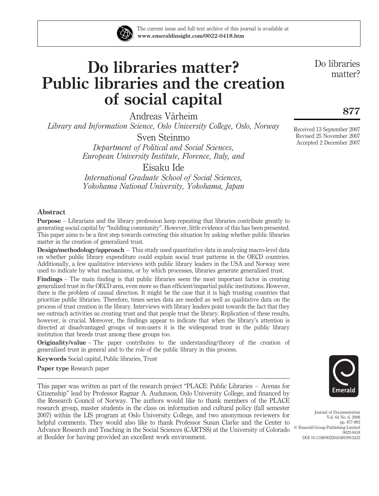

The current issue and full text archive of this journal is available at www.emeraldinsight.com/0022-0418.htm

# Do libraries matter? Public libraries and the creation of social capital

Andreas Vårheim

Library and Information Science, Oslo University College, Oslo, Norway

Sven Steinmo

Department of Political and Social Sciences, European University Institute, Florence, Italy, and

Eisaku Ide

International Graduate School of Social Sciences, Yokohama National University, Yokohama, Japan

## Abstract

Purpose – Librarians and the library profession keep repeating that libraries contribute greatly to generating social capital by "building community". However, little evidence of this has been presented. This paper aims to be a first step towards correcting this situation by asking whether public libraries matter in the creation of generalized trust.

Design/methodology/approach – This study used quantitative data in analyzing macro-level data on whether public library expenditure could explain social trust patterns in the OECD countries. Additionally, a few qualitative interviews with public library leaders in the USA and Norway were used to indicate by what mechanisms, or by which processes, libraries generate generalized trust.

Findings – The main finding is that public libraries seem the most important factor in creating generalized trust in the OECD area, even more so than efficient/impartial public institutions. However, there is the problem of causal direction. It might be the case that it is high trusting countries that prioritize public libraries. Therefore, times series data are needed as well as qualitative data on the process of trust creation in the library. Interviews with library leaders point towards the fact that they see outreach activities as creating trust and that people trust the library. Replication of these results, however, is crucial. Moreover, the findings appear to indicate that when the library's attention is directed at disadvantaged groups of non-users it is the widespread trust in the public library institution that breeds trust among these groups too.

**Originality/value** – The paper contributes to the understanding/theory of the creation of generalized trust in general and to the role of the public library in this process.

Keywords Social capital, Public libraries, Trust

Paper type Research paper

This paper was written as part of the research project "PLACE: Public Libraries – Arenas for Citizenship" lead by Professor Ragnar A. Audunson, Oslo University College, and financed by the Research Council of Norway. The authors would like to thank members of the PLACE research group, master students in the class on information and cultural policy (fall semester 2007) within the LIS program at Oslo University College, and two anonymous reviewers for helpful comments. They would also like to thank Professor Susan Clarke and the Center to Advance Research and Teaching in the Social Sciences (CARTSS) at the University of Colorado at Boulder for having provided an excellent work environment.

Do libraries matter?

877

Received 13 September 2007 Revised 25 November 2007 Accepted 2 December 2007



Journal of Documentation Vol. 64 No. 6, 2008 pp. 877-892  $©$  Emerald Group Publishing Limited 0022-0418 DOI 10.1108/00220410810912433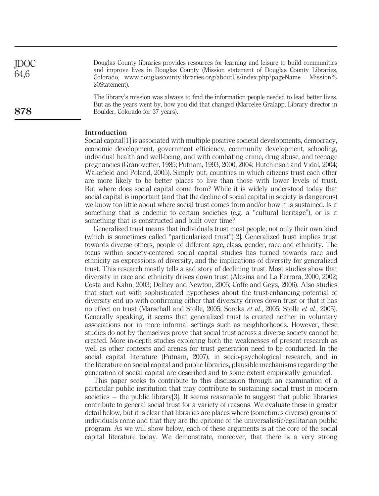| <b>JDOC</b><br>64,6 | Douglas County libraries provides resources for learning and leisure to build communities<br>and improve lives in Douglas County (Mission statement of Douglas County Libraries,<br>Colorado, www.douglascountylibraries.org/aboutUs/index.php?pageName = Mission%<br>20Statement). |
|---------------------|-------------------------------------------------------------------------------------------------------------------------------------------------------------------------------------------------------------------------------------------------------------------------------------|
| 878                 | The library's mission was always to find the information people needed to lead better lives.<br>But as the years went by, how you did that changed (Marcelee Gralapp, Library director in<br>Boulder, Colorado for 37 years).                                                       |

#### Introduction

Social capital[1] is associated with multiple positive societal developments, democracy, economic development, government efficiency, community development, schooling, individual health and well-being, and with combating crime, drug abuse, and teenage pregnancies (Granovetter, 1985; Putnam, 1993, 2000, 2004; Hutchinson and Vidal, 2004; Wakefield and Poland, 2005). Simply put, countries in which citizens trust each other are more likely to be better places to live than those with lower levels of trust. But where does social capital come from? While it is widely understood today that social capital is important (and that the decline of social capital in society is dangerous) we know too little about where social trust comes from and/or how it is sustained. Is it something that is endemic to certain societies (e.g. a "cultural heritage"), or is it something that is constructed and built over time?

Generalized trust means that individuals trust most people, not only their own kind (which is sometimes called "particularized trust")[2]. Generalized trust implies trust towards diverse others, people of different age, class, gender, race and ethnicity. The focus within society-centered social capital studies has turned towards race and ethnicity as expressions of diversity, and the implications of diversity for generalized trust. This research mostly tells a sad story of declining trust. Most studies show that diversity in race and ethnicity drives down trust (Alesina and La Ferrara, 2000, 2002; Costa and Kahn, 2003; Delhey and Newton, 2005; Coffe and Geys, 2006). Also studies that start out with sophisticated hypotheses about the trust-enhancing potential of diversity end up with confirming either that diversity drives down trust or that it has no effect on trust (Marschall and Stolle, 2005; Soroka et al., 2005; Stolle et al., 2005). Generally speaking, it seems that generalized trust is created neither in voluntary associations nor in more informal settings such as neighborhoods. However, these studies do not by themselves prove that social trust across a diverse society cannot be created. More in-depth studies exploring both the weaknesses of present research as well as other contexts and arenas for trust generation need to be conducted. In the social capital literature (Putnam, 2007), in socio-psychological research, and in the literature on social capital and public libraries, plausible mechanisms regarding the generation of social capital are described and to some extent empirically grounded.

This paper seeks to contribute to this discussion through an examination of a particular public institution that may contribute to sustaining social trust in modern societies – the public library[3]. It seems reasonable to suggest that public libraries contribute to general social trust for a variety of reasons. We evaluate these in greater detail below, but it is clear that libraries are places where (sometimes diverse) groups of individuals come and that they are the epitome of the universalistic/egalitarian public program. As we will show below, each of these arguments is at the core of the social capital literature today. We demonstrate, moreover, that there is a very strong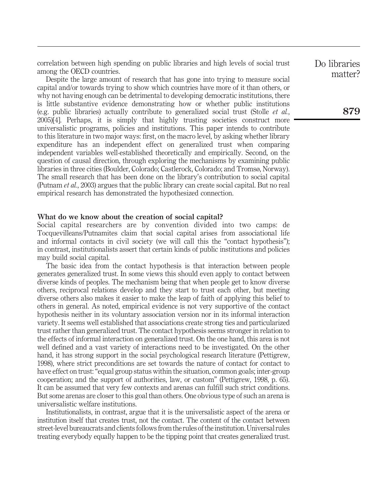correlation between high spending on public libraries and high levels of social trust among the OECD countries.

Despite the large amount of research that has gone into trying to measure social capital and/or towards trying to show which countries have more of it than others, or why not having enough can be detrimental to developing democratic institutions, there is little substantive evidence demonstrating how or whether public institutions (e.g. public libraries) actually contribute to generalized social trust (Stolle  $et al.,$ 2005)[4]. Perhaps, it is simply that highly trusting societies construct more universalistic programs, policies and institutions. This paper intends to contribute to this literature in two major ways: first, on the macro level, by asking whether library expenditure has an independent effect on generalized trust when comparing independent variables well-established theoretically and empirically. Second, on the question of causal direction, through exploring the mechanisms by examining public libraries in three cities (Boulder, Colorado; Castlerock, Colorado; and Tromsø, Norway). The small research that has been done on the library's contribution to social capital (Putnam et al., 2003) argues that the public library can create social capital. But no real empirical research has demonstrated the hypothesized connection.

#### What do we know about the creation of social capital?

Social capital researchers are by convention divided into two camps: de Tocquevilleans/Putnamites claim that social capital arises from associational life and informal contacts in civil society (we will call this the "contact hypothesis"); in contrast, institutionalists assert that certain kinds of public institutions and policies may build social capital.

The basic idea from the contact hypothesis is that interaction between people generates generalized trust. In some views this should even apply to contact between diverse kinds of peoples. The mechanism being that when people get to know diverse others, reciprocal relations develop and they start to trust each other, but meeting diverse others also makes it easier to make the leap of faith of applying this belief to others in general. As noted, empirical evidence is not very supportive of the contact hypothesis neither in its voluntary association version nor in its informal interaction variety. It seems well established that associations create strong ties and particularized trust rather than generalized trust. The contact hypothesis seems stronger in relation to the effects of informal interaction on generalized trust. On the one hand, this area is not well defined and a vast variety of interactions need to be investigated. On the other hand, it has strong support in the social psychological research literature (Pettigrew, 1998), where strict preconditions are set towards the nature of contact for contact to have effect on trust: "equal group status within the situation, common goals; inter-group cooperation; and the support of authorities, law, or custom" (Pettigrew, 1998, p. 65). It can be assumed that very few contexts and arenas can fulfill such strict conditions. But some arenas are closer to this goal than others. One obvious type of such an arena is universalistic welfare institutions.

Institutionalists, in contrast, argue that it is the universalistic aspect of the arena or institution itself that creates trust, not the contact. The content of the contact between street-level bureaucrats and clients follows from the rules of the institution. Universal rules treating everybody equally happen to be the tipping point that creates generalized trust.

Do libraries matter?

879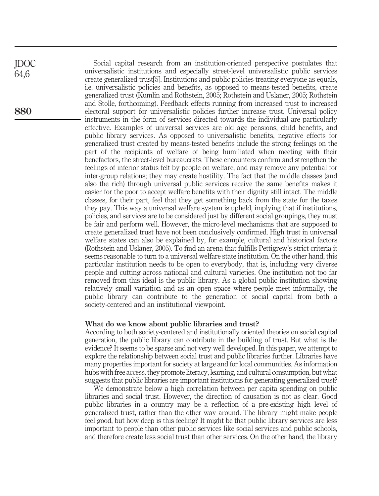Social capital research from an institution-oriented perspective postulates that universalistic institutions and especially street-level universalistic public services create generalized trust[5]. Institutions and public policies treating everyone as equals, i.e. universalistic policies and benefits, as opposed to means-tested benefits, create generalized trust (Kumlin and Rothstein, 2005; Rothstein and Uslaner, 2005; Rothstein and Stolle, forthcoming). Feedback effects running from increased trust to increased electoral support for universalistic policies further increase trust. Universal policy instruments in the form of services directed towards the individual are particularly effective. Examples of universal services are old age pensions, child benefits, and public library services. As opposed to universalistic benefits, negative effects for generalized trust created by means-tested benefits include the strong feelings on the part of the recipients of welfare of being humiliated when meeting with their benefactors, the street-level bureaucrats. These encounters confirm and strengthen the feelings of inferior status felt by people on welfare, and may remove any potential for inter-group relations; they may create hostility. The fact that the middle classes (and also the rich) through universal public services receive the same benefits makes it easier for the poor to accept welfare benefits with their dignity still intact. The middle classes, for their part, feel that they get something back from the state for the taxes they pay. This way a universal welfare system is upheld, implying that if institutions, policies, and services are to be considered just by different social groupings, they must be fair and perform well. However, the micro-level mechanisms that are supposed to create generalized trust have not been conclusively confirmed. High trust in universal welfare states can also be explained by, for example, cultural and historical factors (Rothstein and Uslaner, 2005). To find an arena that fulfills Pettigrew's strict criteria it seems reasonable to turn to a universal welfare state institution. On the other hand, this particular institution needs to be open to everybody, that is, including very diverse people and cutting across national and cultural varieties. One institution not too far removed from this ideal is the public library. As a global public institution showing relatively small variation and as an open space where people meet informally, the public library can contribute to the generation of social capital from both a society-centered and an institutional viewpoint.

# What do we know about public libraries and trust?

According to both society-centered and institutionally oriented theories on social capital generation, the public library can contribute in the building of trust. But what is the evidence? It seems to be sparse and not very well developed. In this paper, we attempt to explore the relationship between social trust and public libraries further. Libraries have many properties important for society at large and for local communities. As information hubs with free access, they promote literacy, learning, and cultural consumption, but what suggests that public libraries are important institutions for generating generalized trust?

We demonstrate below a high correlation between per capita spending on public libraries and social trust. However, the direction of causation is not as clear. Good public libraries in a country may be a reflection of a pre-existing high level of generalized trust, rather than the other way around. The library might make people feel good, but how deep is this feeling? It might be that public library services are less important to people than other public services like social services and public schools, and therefore create less social trust than other services. On the other hand, the library

880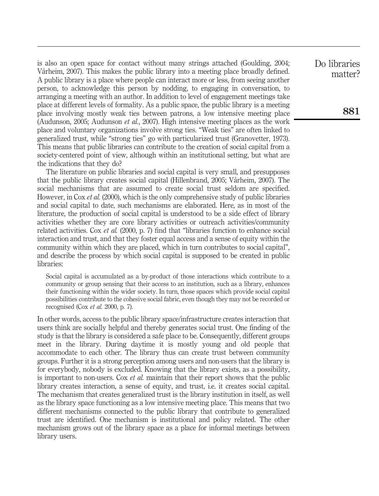is also an open space for contact without many strings attached (Goulding, 2004; Varheim, 2007). This makes the public library into a meeting place broadly defined. A public library is a place where people can interact more or less, from seeing another person, to acknowledge this person by nodding, to engaging in conversation, to arranging a meeting with an author. In addition to level of engagement meetings take place at different levels of formality. As a public space, the public library is a meeting place involving mostly weak ties between patrons, a low intensive meeting place (Audunson, 2005; Audunson et al., 2007). High intensive meeting places as the work place and voluntary organizations involve strong ties. "Weak ties" are often linked to generalized trust, while "strong ties" go with particularized trust (Granovetter, 1973). This means that public libraries can contribute to the creation of social capital from a society-centered point of view, although within an institutional setting, but what are the indications that they do?

The literature on public libraries and social capital is very small, and presupposes that the public library creates social capital (Hillenbrand, 2005; Vårheim, 2007). The social mechanisms that are assumed to create social trust seldom are specified. However, in Cox *et al.* (2000), which is the only comprehensive study of public libraries and social capital to date, such mechanisms are elaborated. Here, as in most of the literature, the production of social capital is understood to be a side effect of library activities whether they are core library activities or outreach activities/community related activities. Cox et al. (2000, p. 7) find that "libraries function to enhance social interaction and trust, and that they foster equal access and a sense of equity within the community within which they are placed, which in turn contributes to social capital", and describe the process by which social capital is supposed to be created in public libraries:

Social capital is accumulated as a by-product of those interactions which contribute to a community or group sensing that their access to an institution, such as a library, enhances their functioning within the wider society. In turn, those spaces which provide social capital possibilities contribute to the cohesive social fabric, even though they may not be recorded or recognised (Cox et al. 2000, p. 7).

In other words, access to the public library space/infrastructure creates interaction that users think are socially helpful and thereby generates social trust. One finding of the study is that the library is considered a safe place to be. Consequently, different groups meet in the library. During daytime it is mostly young and old people that accommodate to each other. The library thus can create trust between community groups. Further it is a strong perception among users and non-users that the library is for everybody, nobody is excluded. Knowing that the library exists, as a possibility, is important to non-users. Cox *et al.* maintain that their report shows that the public library creates interaction, a sense of equity, and trust, i.e. it creates social capital. The mechanism that creates generalized trust is the library institution in itself, as well as the library space functioning as a low intensive meeting place. This means that two different mechanisms connected to the public library that contribute to generalized trust are identified. One mechanism is institutional and policy related. The other mechanism grows out of the library space as a place for informal meetings between library users.

Do libraries matter?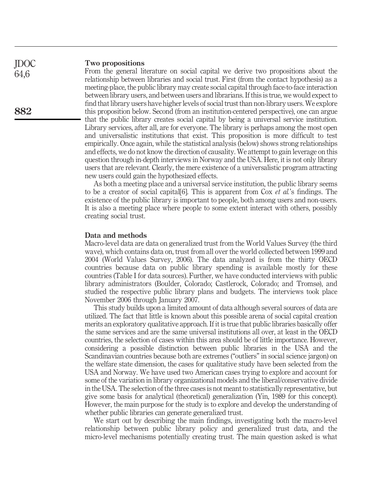#### Two propositions

From the general literature on social capital we derive two propositions about the relationship between libraries and social trust. First (from the contact hypothesis) as a meeting-place, the public library may create social capital through face-to-face interaction between library users, and between users and librarians. If this is true, we would expect to find that library users have higher levels of social trust than non-library users. We explore this proposition below. Second (from an institution-centered perspective), one can argue that the public library creates social capital by being a universal service institution. Library services, after all, are for everyone. The library is perhaps among the most open and universalistic institutions that exist. This proposition is more difficult to test empirically. Once again, while the statistical analysis (below) shows strong relationships and effects, we do not know the direction of causality. We attempt to gain leverage on this question through in-depth interviews in Norway and the USA. Here, it is not only library users that are relevant. Clearly, the mere existence of a universalistic program attracting new users could gain the hypothesized effects.

As both a meeting place and a universal service institution, the public library seems to be a creator of social capital[6]. This is apparent from Cox et al.'s findings. The existence of the public library is important to people, both among users and non-users. It is also a meeting place where people to some extent interact with others, possibly creating social trust.

#### Data and methods

Macro-level data are data on generalized trust from the World Values Survey (the third wave), which contains data on, trust from all over the world collected between 1999 and 2004 (World Values Survey, 2006). The data analyzed is from the thirty OECD countries because data on public library spending is available mostly for these countries (Table I for data sources). Further, we have conducted interviews with public library administrators (Boulder, Colorado; Castlerock, Colorado; and Tromsø), and studied the respective public library plans and budgets. The interviews took place November 2006 through January 2007.

This study builds upon a limited amount of data although several sources of data are utilized. The fact that little is known about this possible arena of social capital creation merits an exploratory qualitative approach. If it is true that public libraries basically offer the same services and are the same universal institutions all over, at least in the OECD countries, the selection of cases within this area should be of little importance. However, considering a possible distinction between public libraries in the USA and the Scandinavian countries because both are extremes ("outliers" in social science jargon) on the welfare state dimension, the cases for qualitative study have been selected from the USA and Norway. We have used two American cases trying to explore and account for some of the variation in library organizational models and the liberal/conservative divide in the USA. The selection of the three cases is not meant to statistically representative, but give some basis for analytical (theoretical) generalization (Yin, 1989 for this concept). However, the main purpose for the study is to explore and develop the understanding of whether public libraries can generate generalized trust.

We start out by describing the main findings, investigating both the macro-level relationship between public library policy and generalized trust data, and the micro-level mechanisms potentially creating trust. The main question asked is what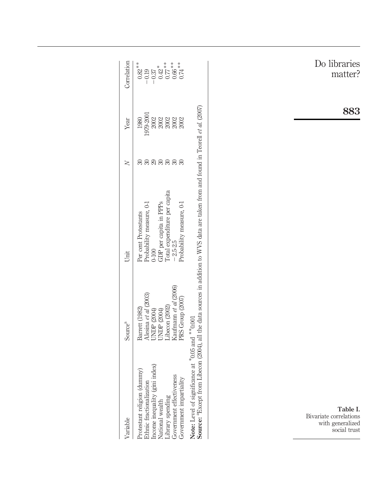| <b>Source:</b> <sup>a</sup> Except from Libecon (2004), all the data sources in addition to WVS data are taken from and found in Teorell et al. (2007)<br>Note: Level of significance at *0.05 and **0.001<br>index)<br>Protestant religion (dummy)<br>Ethnic fractionalization<br>Income inequality (gini index)<br>National wealth<br>Library spending<br>Covernment effectiveness<br>Government impartiality<br>Variable | Kaufmann et al (2006)<br>Alesina et al (2003)<br>PRS Group (2007)<br>Libecon (2002)<br>Barrett (1982)<br>UNDP (2004)<br>UNDP (2004)<br>Source <sup>a</sup> | Total expenditure per capita<br>GDP per capita in PPPs<br>Probability measure, 0-1<br>Probability measure, 0-1<br>Per cent Protestants<br>$-2.5 - 2.5$<br>0.100<br>juit | 88<br>$\boldsymbol{\mathcal{S}}$<br>$\rm 30$<br>$\infty$<br>30<br>8<br>$\geq$ | 1979-2001<br>2<br>2022<br>2023<br>1980<br>2002<br>Year | Correlation<br>$0.82^{\,*}$<br>$- \frac{0.37}{0.42}$<br>$0.65$<br>$0.66$<br>$0.66$<br>$0.74$<br>$-0.19$ |
|-----------------------------------------------------------------------------------------------------------------------------------------------------------------------------------------------------------------------------------------------------------------------------------------------------------------------------------------------------------------------------------------------------------------------------|------------------------------------------------------------------------------------------------------------------------------------------------------------|-------------------------------------------------------------------------------------------------------------------------------------------------------------------------|-------------------------------------------------------------------------------|--------------------------------------------------------|---------------------------------------------------------------------------------------------------------|
|                                                                                                                                                                                                                                                                                                                                                                                                                             |                                                                                                                                                            |                                                                                                                                                                         |                                                                               |                                                        |                                                                                                         |
|                                                                                                                                                                                                                                                                                                                                                                                                                             |                                                                                                                                                            |                                                                                                                                                                         |                                                                               |                                                        |                                                                                                         |
|                                                                                                                                                                                                                                                                                                                                                                                                                             |                                                                                                                                                            |                                                                                                                                                                         |                                                                               |                                                        |                                                                                                         |
|                                                                                                                                                                                                                                                                                                                                                                                                                             |                                                                                                                                                            |                                                                                                                                                                         |                                                                               |                                                        |                                                                                                         |
|                                                                                                                                                                                                                                                                                                                                                                                                                             |                                                                                                                                                            |                                                                                                                                                                         |                                                                               |                                                        |                                                                                                         |
|                                                                                                                                                                                                                                                                                                                                                                                                                             |                                                                                                                                                            |                                                                                                                                                                         |                                                                               |                                                        |                                                                                                         |
|                                                                                                                                                                                                                                                                                                                                                                                                                             |                                                                                                                                                            |                                                                                                                                                                         |                                                                               |                                                        |                                                                                                         |
|                                                                                                                                                                                                                                                                                                                                                                                                                             |                                                                                                                                                            |                                                                                                                                                                         |                                                                               |                                                        |                                                                                                         |
|                                                                                                                                                                                                                                                                                                                                                                                                                             |                                                                                                                                                            |                                                                                                                                                                         |                                                                               |                                                        |                                                                                                         |
|                                                                                                                                                                                                                                                                                                                                                                                                                             |                                                                                                                                                            |                                                                                                                                                                         |                                                                               |                                                        |                                                                                                         |
|                                                                                                                                                                                                                                                                                                                                                                                                                             |                                                                                                                                                            |                                                                                                                                                                         |                                                                               |                                                        |                                                                                                         |
|                                                                                                                                                                                                                                                                                                                                                                                                                             |                                                                                                                                                            |                                                                                                                                                                         |                                                                               |                                                        |                                                                                                         |
|                                                                                                                                                                                                                                                                                                                                                                                                                             |                                                                                                                                                            |                                                                                                                                                                         |                                                                               |                                                        |                                                                                                         |
|                                                                                                                                                                                                                                                                                                                                                                                                                             |                                                                                                                                                            |                                                                                                                                                                         |                                                                               |                                                        |                                                                                                         |
|                                                                                                                                                                                                                                                                                                                                                                                                                             |                                                                                                                                                            |                                                                                                                                                                         |                                                                               |                                                        |                                                                                                         |
|                                                                                                                                                                                                                                                                                                                                                                                                                             |                                                                                                                                                            |                                                                                                                                                                         |                                                                               |                                                        |                                                                                                         |
|                                                                                                                                                                                                                                                                                                                                                                                                                             |                                                                                                                                                            |                                                                                                                                                                         |                                                                               |                                                        |                                                                                                         |
|                                                                                                                                                                                                                                                                                                                                                                                                                             |                                                                                                                                                            |                                                                                                                                                                         |                                                                               |                                                        |                                                                                                         |
|                                                                                                                                                                                                                                                                                                                                                                                                                             |                                                                                                                                                            |                                                                                                                                                                         |                                                                               |                                                        |                                                                                                         |
|                                                                                                                                                                                                                                                                                                                                                                                                                             |                                                                                                                                                            |                                                                                                                                                                         |                                                                               |                                                        |                                                                                                         |
|                                                                                                                                                                                                                                                                                                                                                                                                                             |                                                                                                                                                            |                                                                                                                                                                         |                                                                               |                                                        |                                                                                                         |
|                                                                                                                                                                                                                                                                                                                                                                                                                             |                                                                                                                                                            |                                                                                                                                                                         |                                                                               |                                                        |                                                                                                         |
|                                                                                                                                                                                                                                                                                                                                                                                                                             |                                                                                                                                                            |                                                                                                                                                                         |                                                                               |                                                        |                                                                                                         |
|                                                                                                                                                                                                                                                                                                                                                                                                                             |                                                                                                                                                            |                                                                                                                                                                         |                                                                               |                                                        |                                                                                                         |
|                                                                                                                                                                                                                                                                                                                                                                                                                             |                                                                                                                                                            |                                                                                                                                                                         |                                                                               |                                                        |                                                                                                         |
|                                                                                                                                                                                                                                                                                                                                                                                                                             |                                                                                                                                                            |                                                                                                                                                                         |                                                                               |                                                        |                                                                                                         |
|                                                                                                                                                                                                                                                                                                                                                                                                                             |                                                                                                                                                            |                                                                                                                                                                         |                                                                               |                                                        |                                                                                                         |
|                                                                                                                                                                                                                                                                                                                                                                                                                             |                                                                                                                                                            |                                                                                                                                                                         |                                                                               |                                                        |                                                                                                         |
|                                                                                                                                                                                                                                                                                                                                                                                                                             |                                                                                                                                                            |                                                                                                                                                                         |                                                                               |                                                        |                                                                                                         |
|                                                                                                                                                                                                                                                                                                                                                                                                                             |                                                                                                                                                            |                                                                                                                                                                         |                                                                               |                                                        |                                                                                                         |
|                                                                                                                                                                                                                                                                                                                                                                                                                             |                                                                                                                                                            |                                                                                                                                                                         |                                                                               |                                                        |                                                                                                         |
|                                                                                                                                                                                                                                                                                                                                                                                                                             |                                                                                                                                                            |                                                                                                                                                                         |                                                                               |                                                        |                                                                                                         |
|                                                                                                                                                                                                                                                                                                                                                                                                                             |                                                                                                                                                            |                                                                                                                                                                         |                                                                               |                                                        |                                                                                                         |
|                                                                                                                                                                                                                                                                                                                                                                                                                             |                                                                                                                                                            |                                                                                                                                                                         |                                                                               |                                                        |                                                                                                         |
|                                                                                                                                                                                                                                                                                                                                                                                                                             |                                                                                                                                                            |                                                                                                                                                                         |                                                                               |                                                        |                                                                                                         |

Table I. Bivariate correlations with generalized social trust

883

Do libraries matter?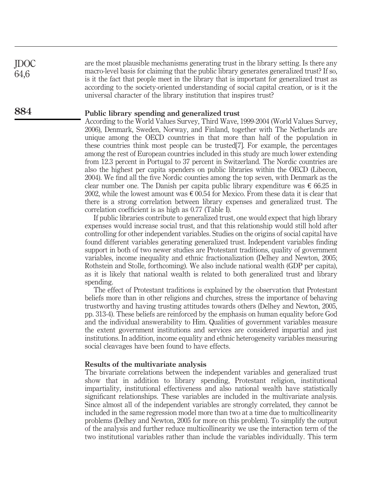are the most plausible mechanisms generating trust in the library setting. Is there any macro-level basis for claiming that the public library generates generalized trust? If so, is it the fact that people meet in the library that is important for generalized trust as according to the society-oriented understanding of social capital creation, or is it the universal character of the library institution that inspires trust?

#### Public library spending and generalized trust 884

JDOC 64,6

> According to the World Values Survey, Third Wave, 1999-2004 (World Values Survey, 2006), Denmark, Sweden, Norway, and Finland, together with The Netherlands are unique among the OECD countries in that more than half of the population in these countries think most people can be trusted[7]. For example, the percentages among the rest of European countries included in this study are much lower extending from 12.3 percent in Portugal to 37 percent in Switzerland. The Nordic countries are also the highest per capita spenders on public libraries within the OECD (Libecon, 2004). We find all the five Nordic counties among the top seven, with Denmark as the clear number one. The Danish per capita public library expenditure was  $\epsilon$  66.25 in 2002, while the lowest amount was  $\epsilon$  00.54 for Mexico. From these data it is clear that there is a strong correlation between library expenses and generalized trust. The correlation coefficient is as high as 0.77 (Table I).

> If public libraries contribute to generalized trust, one would expect that high library expenses would increase social trust, and that this relationship would still hold after controlling for other independent variables. Studies on the origins of social capital have found different variables generating generalized trust. Independent variables finding support in both of two newer studies are Protestant traditions, quality of government variables, income inequality and ethnic fractionalization (Delhey and Newton, 2005; Rothstein and Stolle, forthcoming). We also include national wealth (GDP per capita), as it is likely that national wealth is related to both generalized trust and library spending.

> The effect of Protestant traditions is explained by the observation that Protestant beliefs more than in other religions and churches, stress the importance of behaving trustworthy and having trusting attitudes towards others (Delhey and Newton, 2005, pp. 313-4). These beliefs are reinforced by the emphasis on human equality before God and the individual answerability to Him. Qualities of government variables measure the extent government institutions and services are considered impartial and just institutions. In addition, income equality and ethnic heterogeneity variables measuring social cleavages have been found to have effects.

### Results of the multivariate analysis

The bivariate correlations between the independent variables and generalized trust show that in addition to library spending, Protestant religion, institutional impartiality, institutional effectiveness and also national wealth have statistically significant relationships. These variables are included in the multivariate analysis. Since almost all of the independent variables are strongly correlated, they cannot be included in the same regression model more than two at a time due to multicollinearity problems (Delhey and Newton, 2005 for more on this problem). To simplify the output of the analysis and further reduce multicollinearity we use the interaction term of the two institutional variables rather than include the variables individually. This term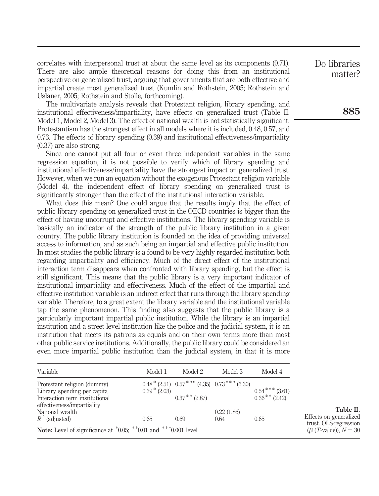correlates with interpersonal trust at about the same level as its components (0.71). There are also ample theoretical reasons for doing this from an institutional perspective on generalized trust, arguing that governments that are both effective and impartial create most generalized trust (Kumlin and Rothstein, 2005; Rothstein and Uslaner, 2005; Rothstein and Stolle, forthcoming).

The multivariate analysis reveals that Protestant religion, library spending, and institutional effectiveness/impartiality, have effects on generalized trust (Table II. Model 1, Model 2, Model 3). The effect of national wealth is not statistically significant. Protestantism has the strongest effect in all models where it is included, 0.48, 0.57, and 0.73. The effects of library spending (0.39) and institutional effectiveness/impartiality (0.37) are also strong.

Since one cannot put all four or even three independent variables in the same regression equation, it is not possible to verify which of library spending and institutional effectiveness/impartiality have the strongest impact on generalized trust. However, when we run an equation without the exogenous Protestant religion variable (Model 4), the independent effect of library spending on generalized trust is significantly stronger than the effect of the institutional interaction variable.

What does this mean? One could argue that the results imply that the effect of public library spending on generalized trust in the OECD countries is bigger than the effect of having uncorrupt and effective institutions. The library spending variable is basically an indicator of the strength of the public library institution in a given country. The public library institution is founded on the idea of providing universal access to information, and as such being an impartial and effective public institution. In most studies the public library is a found to be very highly regarded institution both regarding impartiality and efficiency. Much of the direct effect of the institutional interaction term disappears when confronted with library spending, but the effect is still significant. This means that the public library is a very important indicator of institutional impartiality and effectiveness. Much of the effect of the impartial and effective institution variable is an indirect effect that runs through the library spending variable. Therefore, to a great extent the library variable and the institutional variable tap the same phenomenon. This finding also suggests that the public library is a particularly important impartial public institution. While the library is an impartial institution and a street-level institution like the police and the judicial system, it is an institution that meets its patrons as equals and on their own terms more than most other public service institutions. Additionally, the public library could be considered an even more impartial public institution than the judicial system, in that it is more

| Variable                                                                                                                   | Model 1        | Model 2                                                                                                  | Model 3            | Model 4                            |
|----------------------------------------------------------------------------------------------------------------------------|----------------|----------------------------------------------------------------------------------------------------------|--------------------|------------------------------------|
| Protestant religion (dummy)<br>Library spending per capita<br>Interaction term institutional<br>effectiveness/impartiality | $0.39*$ (2.03) | $0.48$ <sup>*</sup> (2.51) $0.57$ <sup>***</sup> (4.35) $0.73$ <sup>***</sup> (6.30)<br>$0.37***$ (2.87) |                    | $0.54***(3.61)$<br>$0.36***(2.42)$ |
| National wealth<br>$R^2$ (adjusted)                                                                                        | 0.65           | 0.69                                                                                                     | 0.22(1.86)<br>0.64 | 0.65                               |
| Note: Level of significance at $*0.05$ ; **0.01 and ***0.001 level                                                         |                |                                                                                                          |                    |                                    |

Do libraries matter?

Table II.

Effects on generalized trust. OLS-regression  $(\beta$  (*T*-value)),  $N = 30$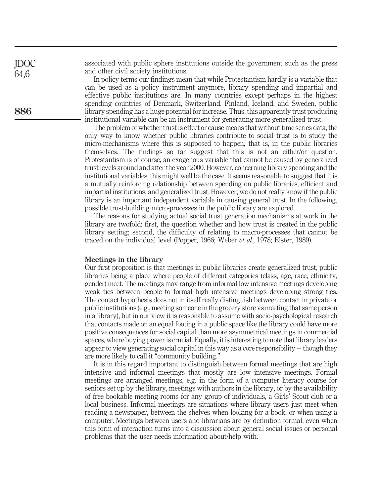associated with public sphere institutions outside the government such as the press and other civil society institutions.

In policy terms our findings mean that while Protestantism hardly is a variable that can be used as a policy instrument anymore, library spending and impartial and effective public institutions are. In many countries except perhaps in the highest spending countries of Denmark, Switzerland, Finland, Iceland, and Sweden, public library spending has a huge potential for increase. Thus, this apparently trust producing institutional variable can be an instrument for generating more generalized trust.

The problem of whether trust is effect or cause means that without time series data, the only way to know whether public libraries contribute to social trust is to study the micro-mechanisms where this is supposed to happen, that is, in the public libraries themselves. The findings so far suggest that this is not an either/or question. Protestantism is of course, an exogenous variable that cannot be caused by generalized trust levels around and after the year 2000. However, concerning library spending and the institutional variables, this might well be the case. It seems reasonable to suggest that it is a mutually reinforcing relationship between spending on public libraries, efficient and impartial institutions, and generalized trust. However, we do not really know if the public library is an important independent variable in causing general trust. In the following, possible trust-building micro-processes in the public library are explored.

The reasons for studying actual social trust generation mechanisms at work in the library are twofold: first, the question whether and how trust is created in the public library setting; second, the difficulty of relating to macro-processes that cannot be traced on the individual level (Popper, 1966; Weber et al., 1978; Elster, 1989).

#### Meetings in the library

Our first proposition is that meetings in public libraries create generalized trust, public libraries being a place where people of different categories (class, age, race, ethnicity, gender) meet. The meetings may range from informal low intensive meetings developing weak ties between people to formal high intensive meetings developing strong ties. The contact hypothesis does not in itself really distinguish between contact in private or public institutions (e.g., meeting someone in the grocery store vs meeting that same person in a library), but in our view it is reasonable to assume with socio-psychological research that contacts made on an equal footing in a public space like the library could have more positive consequences for social capital than more asymmetrical meetings in commercial spaces, where buying power is crucial. Equally, it is interesting to note that library leaders appear to view generating social capital in this way as a core responsibility – though they are more likely to call it "community building."

It is in this regard important to distinguish between formal meetings that are high intensive and informal meetings that mostly are low intensive meetings. Formal meetings are arranged meetings, e.g. in the form of a computer literacy course for seniors set up by the library, meetings with authors in the library, or by the availability of free bookable meeting rooms for any group of individuals, a Girls' Scout club or a local business. Informal meetings are situations where library users just meet when reading a newspaper, between the shelves when looking for a book, or when using a computer. Meetings between users and librarians are by definition formal, even when this form of interaction turns into a discussion about general social issues or personal problems that the user needs information about/help with.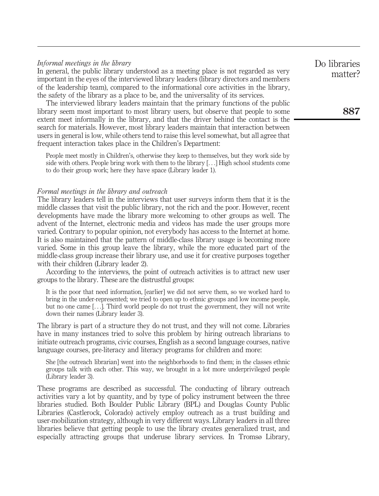### Informal meetings in the library

In general, the public library understood as a meeting place is not regarded as very important in the eyes of the interviewed library leaders (library directors and members of the leadership team), compared to the informational core activities in the library, the safety of the library as a place to be, and the universality of its services.

The interviewed library leaders maintain that the primary functions of the public library seem most important to most library users, but observe that people to some extent meet informally in the library, and that the driver behind the contact is the search for materials. However, most library leaders maintain that interaction between users in general is low, while others tend to raise this level somewhat, but all agree that frequent interaction takes place in the Children's Department:

People meet mostly in Children's, otherwise they keep to themselves, but they work side by side with others. People bring work with them to the library [...] High school students come to do their group work; here they have space (Library leader 1).

#### Formal meetings in the library and outreach

The library leaders tell in the interviews that user surveys inform them that it is the middle classes that visit the public library, not the rich and the poor. However, recent developments have made the library more welcoming to other groups as well. The advent of the Internet, electronic media and videos has made the user groups more varied. Contrary to popular opinion, not everybody has access to the Internet at home. It is also maintained that the pattern of middle-class library usage is becoming more varied. Some in this group leave the library, while the more educated part of the middle-class group increase their library use, and use it for creative purposes together with their children (Library leader 2).

According to the interviews, the point of outreach activities is to attract new user groups to the library. These are the distrustful groups:

It is the poor that need information, [earlier] we did not serve them, so we worked hard to bring in the under-represented; we tried to open up to ethnic groups and low income people, but no one came [...]. Third world people do not trust the government, they will not write down their names (Library leader 3).

The library is part of a structure they do not trust, and they will not come. Libraries have in many instances tried to solve this problem by hiring outreach librarians to initiate outreach programs, civic courses, English as a second language courses, native language courses, pre-literacy and literacy programs for children and more:

She [the outreach librarian] went into the neighborhoods to find them; in the classes ethnic groups talk with each other. This way, we brought in a lot more underprivileged people (Library leader 3).

These programs are described as successful. The conducting of library outreach activities vary a lot by quantity, and by type of policy instrument between the three libraries studied. Both Boulder Public Library (BPL) and Douglas County Public Libraries (Castlerock, Colorado) actively employ outreach as a trust building and user-mobilization strategy, although in very different ways. Library leaders in all three libraries believe that getting people to use the library creates generalized trust, and especially attracting groups that underuse library services. In Tromsø Library,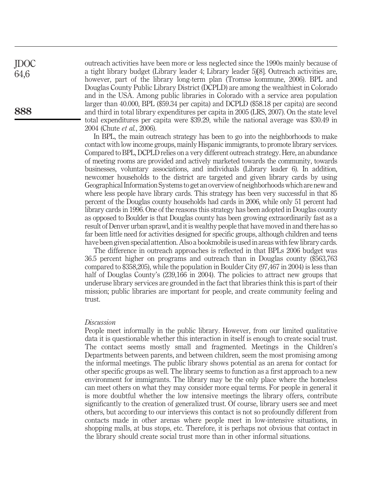outreach activities have been more or less neglected since the 1990s mainly because of a tight library budget (Library leader 4; Library leader 5)[8]. Outreach activities are, however, part of the library long-term plan (Tromsø kommune, 2006). BPL and Douglas County Public Library District (DCPLD) are among the wealthiest in Colorado and in the USA. Among public libraries in Colorado with a service area population larger than 40.000, BPL (\$59.34 per capita) and DCPLD (\$58.18 per capita) are second and third in total library expenditures per capita in 2005 (LRS, 2007). On the state level total expenditures per capita were \$39.29, while the national average was \$30.49 in 2004 (Chute et al., 2006).

In BPL, the main outreach strategy has been to go into the neighborhoods to make contact with low income groups, mainly Hispanic immigrants, to promote library services. Compared to BPL, DCPLD relies on a very different outreach strategy. Here, an abundance of meeting rooms are provided and actively marketed towards the community, towards businesses, voluntary associations, and individuals (Library leader 6). In addition, newcomer households to the district are targeted and given library cards by using Geographical Information Systems to get an overview of neighborhoods which are new and where less people have library cards. This strategy has been very successful in that 85 percent of the Douglas county households had cards in 2006, while only 51 percent had library cards in 1996. One of the reasons this strategy has been adopted in Douglas county as opposed to Boulder is that Douglas county has been growing extraordinarily fast as a result of Denver urban sprawl, and it is wealthy people that have moved in and there has so far been little need for activities designed for specific groups, although children and teens have been given special attention. Also a bookmobile is used in areas with few library cards.

The difference in outreach approaches is reflected in that BPLs 2006 budget was 36.5 percent higher on programs and outreach than in Douglas county (\$563,763 compared to \$358,205), while the population in Boulder City (97,467 in 2004) is less than half of Douglas County's (239,166 in 2004). The policies to attract new groups that underuse library services are grounded in the fact that libraries think this is part of their mission; public libraries are important for people, and create community feeling and trust.

#### Discussion

People meet informally in the public library. However, from our limited qualitative data it is questionable whether this interaction in itself is enough to create social trust. The contact seems mostly small and fragmented. Meetings in the Children's Departments between parents, and between children, seem the most promising among the informal meetings. The public library shows potential as an arena for contact for other specific groups as well. The library seems to function as a first approach to a new environment for immigrants. The library may be the only place where the homeless can meet others on what they may consider more equal terms. For people in general it is more doubtful whether the low intensive meetings the library offers, contribute significantly to the creation of generalized trust. Of course, library users see and meet others, but according to our interviews this contact is not so profoundly different from contacts made in other arenas where people meet in low-intensive situations, in shopping malls, at bus stops, etc. Therefore, it is perhaps not obvious that contact in the library should create social trust more than in other informal situations.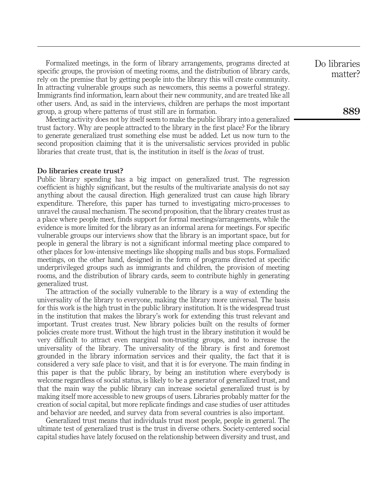Formalized meetings, in the form of library arrangements, programs directed at specific groups, the provision of meeting rooms, and the distribution of library cards, rely on the premise that by getting people into the library this will create community. In attracting vulnerable groups such as newcomers, this seems a powerful strategy. Immigrants find information, learn about their new community, and are treated like all other users. And, as said in the interviews, children are perhaps the most important group, a group where patterns of trust still are in formation.

Meeting activity does not by itself seem to make the public library into a generalized trust factory. Why are people attracted to the library in the first place? For the library to generate generalized trust something else must be added. Let us now turn to the second proposition claiming that it is the universalistic services provided in public libraries that create trust, that is, the institution in itself is the locus of trust.

#### Do libraries create trust?

Public library spending has a big impact on generalized trust. The regression coefficient is highly significant, but the results of the multivariate analysis do not say anything about the causal direction. High generalized trust can cause high library expenditure. Therefore, this paper has turned to investigating micro-processes to unravel the causal mechanism. The second proposition, that the library creates trust as a place where people meet, finds support for formal meetings/arrangements, while the evidence is more limited for the library as an informal arena for meetings. For specific vulnerable groups our interviews show that the library is an important space, but for people in general the library is not a significant informal meeting place compared to other places for low-intensive meetings like shopping malls and bus stops. Formalized meetings, on the other hand, designed in the form of programs directed at specific underprivileged groups such as immigrants and children, the provision of meeting rooms, and the distribution of library cards, seem to contribute highly in generating generalized trust.

The attraction of the socially vulnerable to the library is a way of extending the universality of the library to everyone, making the library more universal. The basis for this work is the high trust in the public library institution. It is the widespread trust in the institution that makes the library's work for extending this trust relevant and important. Trust creates trust. New library policies built on the results of former policies create more trust. Without the high trust in the library institution it would be very difficult to attract even marginal non-trusting groups, and to increase the universality of the library. The universality of the library is first and foremost grounded in the library information services and their quality, the fact that it is considered a very safe place to visit, and that it is for everyone. The main finding in this paper is that the public library, by being an institution where everybody is welcome regardless of social status, is likely to be a generator of generalized trust, and that the main way the public library can increase societal generalized trust is by making itself more accessible to new groups of users. Libraries probably matter for the creation of social capital, but more replicate findings and case studies of user attitudes and behavior are needed, and survey data from several countries is also important.

Generalized trust means that individuals trust most people, people in general. The ultimate test of generalized trust is the trust in diverse others. Society-centered social capital studies have lately focused on the relationship between diversity and trust, and Do libraries matter?

889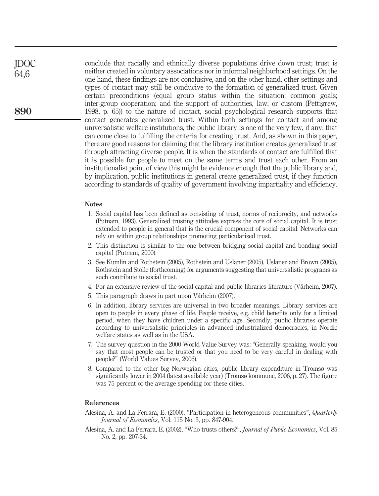conclude that racially and ethnically diverse populations drive down trust; trust is neither created in voluntary associations nor in informal neighborhood settings. On the one hand, these findings are not conclusive, and on the other hand, other settings and types of contact may still be conducive to the formation of generalized trust. Given certain preconditions (equal group status within the situation; common goals; inter-group cooperation; and the support of authorities, law, or custom (Pettigrew, 1998, p. 65)) to the nature of contact, social psychological research supports that contact generates generalized trust. Within both settings for contact and among universalistic welfare institutions, the public library is one of the very few, if any, that can come close to fulfilling the criteria for creating trust. And, as shown in this paper, there are good reasons for claiming that the library institution creates generalized trust through attracting diverse people. It is when the standards of contact are fulfilled that it is possible for people to meet on the same terms and trust each other. From an institutionalist point of view this might be evidence enough that the public library and, by implication, public institutions in general create generalized trust, if they function according to standards of quality of government involving impartiality and efficiency.

#### **Notes**

- 1. Social capital has been defined as consisting of trust, norms of reciprocity, and networks (Putnam, 1993). Generalized trusting attitudes express the core of social capital. It is trust extended to people in general that is the crucial component of social capital. Networks can rely on within group relationships promoting particularized trust.
- 2. This distinction is similar to the one between bridging social capital and bonding social capital (Putnam, 2000).
- 3. See Kumlin and Rothstein (2005), Rothstein and Uslaner (2005), Uslaner and Brown (2005), Rothstein and Stolle (forthcoming) for arguments suggesting that universalistic programs as such contribute to social trust.
- 4. For an extensive review of the social capital and public libraries literature (Vårheim, 2007).
- 5. This paragraph draws in part upon Vårheim (2007).
- 6. In addition, library services are universal in two broader meanings. Library services are open to people in every phase of life. People receive, e.g. child benefits only for a limited period, when they have children under a specific age. Secondly, public libraries operate according to universalistic principles in advanced industrialized democracies, in Nordic welfare states as well as in the USA.
- 7. The survey question in the 2000 World Value Survey was: "Generally speaking, would you say that most people can be trusted or that you need to be very careful in dealing with people?" (World Values Survey, 2006).
- 8. Compared to the other big Norwegian cities, public library expenditure in Tromsø was significantly lower in 2004 (latest available year) (Tromsø kommune, 2006, p. 27). The figure was 75 percent of the average spending for these cities.

#### References

- Alesina, A. and La Ferrara, E. (2000), "Participation in heterogeneous communities", Quarterly Journal of Economics, Vol. 115 No. 3, pp. 847-904.
- Alesina, A. and La Ferrara, E. (2002), "Who trusts others?", Journal of Public Economics, Vol. 85 No. 2, pp. 207-34.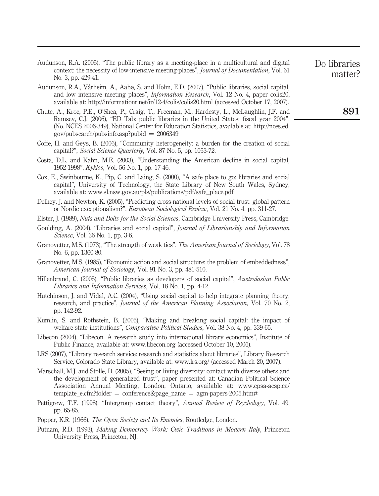- Audunson, R.A. (2005), "The public library as a meeting-place in a multicultural and digital context: the necessity of low-intensive meeting-places", Journal of Documentation, Vol. 61 No. 3, pp. 429-41.
- Do libraries matter?

891

- Audunson, R.A., Va˚rheim, A., Aabø, S. and Holm, E.D. (2007), "Public libraries, social capital, and low intensive meeting places", Information Research, Vol. 12 No. 4, paper colis20, available at: http://informationr.net/ir/12-4/colis/colis20.html (accessed October 17, 2007).
- Chute, A., Kroe, P.E., O'Shea, P., Craig, T., Freeman, M., Hardesty, L., McLaughlin, J.F. and Ramsey, C.J. (2006), "ED Tab: public libraries in the United States: fiscal year 2004", (No. NCES 2006-349), National Center for Education Statistics, available at: http://nces.ed.  $gov/pubsearch/pubsinfo.$ asp?pubid = 2006349
- Coffe, H. and Geys, B. (2006), "Community heterogeneity: a burden for the creation of social capital?", Social Science Quarterly, Vol. 87 No. 5, pp. 1053-72.
- Costa, D.L. and Kahn, M.E. (2003), "Understanding the American decline in social capital, 1952-1998", Kyklos, Vol. 56 No. 1, pp. 17-46.
- Cox, E., Swinbourne, K., Pip, C. and Laing, S. (2000), "A safe place to go: libraries and social capital", University of Technology, the State Library of New South Wales, Sydney, available at: www.sl.nsw.gov.au/pls/publications/pdf/safe\_place.pdf
- Delhey, J. and Newton, K. (2005), "Predicting cross-national levels of social trust: global pattern or Nordic exceptionalism?", European Sociological Review, Vol. 21 No. 4, pp. 311-27.
- Elster, J. (1989), Nuts and Bolts for the Social Sciences, Cambridge University Press, Cambridge.
- Goulding, A. (2004), "Libraries and social capital", Journal of Librarianship and Information Science, Vol. 36 No. 1, pp. 3-6.
- Granovetter, M.S. (1973), "The strength of weak ties", The American Journal of Sociology, Vol. 78 No. 6, pp. 1360-80.
- Granovetter, M.S. (1985), "Economic action and social structure: the problem of embeddedness", American Journal of Sociology, Vol. 91 No. 3, pp. 481-510.
- Hillenbrand, C. (2005), "Public libraries as developers of social capital", Australasian Public Libraries and Information Services, Vol. 18 No. 1, pp. 4-12.
- Hutchinson, J. and Vidal, A.C. (2004), "Using social capital to help integrate planning theory, research, and practice", Journal of the American Planning Association, Vol. 70 No. 2, pp. 142-92.
- Kumlin, S. and Rothstein, B. (2005), "Making and breaking social capital: the impact of welfare-state institutions", *Comparative Political Studies*, Vol. 38 No. 4, pp. 339-65.
- Libecon (2004), "Libecon. A research study into international library economics", Institute of Public Finance, available at: www.libecon.org (accessed October 10, 2006).
- LRS (2007), "Library research service: research and statistics about libraries", Library Research Service, Colorado State Library, available at: www.lrs.org/ (accessed March 20, 2007).
- Marschall, M.J. and Stolle, D. (2005), "Seeing or living diversity: contact with diverse others and the development of generalized trust", paper presented at: Canadian Political Science Association Annual Meeting, London, Ontario, available at: www.cpsa-acsp.ca/ template e.cfm?folder  $=$  conference&page name  $=$  agm-papers-2005.htm#
- Pettigrew, T.F. (1998), "Intergroup contact theory", Annual Review of Psychology, Vol. 49, pp. 65-85.

Popper, K.R. (1966), The Open Society and Its Enemies, Routledge, London.

Putnam, R.D. (1993), Making Democracy Work: Civic Traditions in Modern Italy, Princeton University Press, Princeton, NJ.